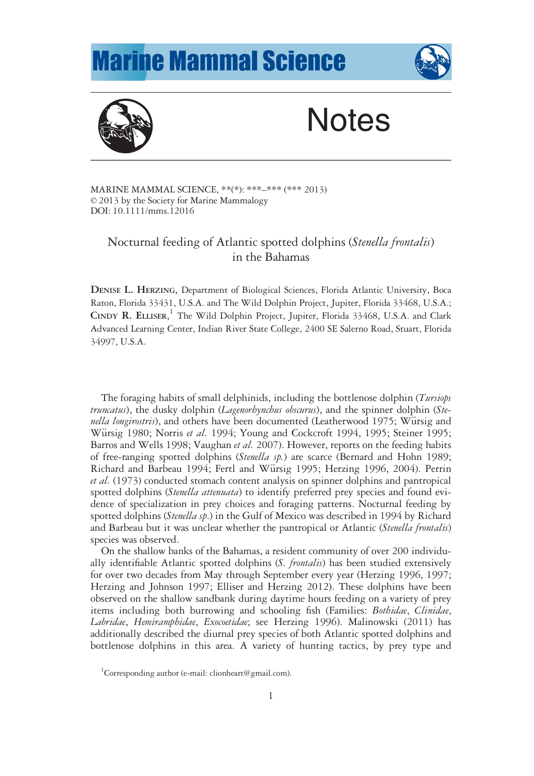## **Marine Mammal Science**





# **Notes**

MARINE MAMMAL SCIENCE, \*\*(\*): \*\*\*–\*\*\* (\*\*\* 2013) © 2013 by the Society for Marine Mammalogy DOI: 10.1111/mms.12016

### Nocturnal feeding of Atlantic spotted dolphins (Stenella frontalis) in the Bahamas

DENISE L. HERZING, Department of Biological Sciences, Florida Atlantic University, Boca Raton, Florida 33431, U.S.A. and The Wild Dolphin Project, Jupiter, Florida 33468, U.S.A.; CINDY R. ELLISER, <sup>1</sup> The Wild Dolphin Project, Jupiter, Florida 33468, U.S.A. and Clark Advanced Learning Center, Indian River State College, 2400 SE Salerno Road, Stuart, Florida 34997, U.S.A.

The foraging habits of small delphinids, including the bottlenose dolphin (*Tursiops*) truncatus), the dusky dolphin (Lagenorhynchus obscurus), and the spinner dolphin (Stenella longirostris), and others have been documented (Leatherwood 1975; Würsig and Würsig 1980; Norris et al. 1994; Young and Cockcroft 1994, 1995; Steiner 1995; Barros and Wells 1998; Vaughan et al. 2007). However, reports on the feeding habits of free-ranging spotted dolphins (Stenella sp.) are scarce (Bernard and Hohn 1989; Richard and Barbeau 1994; Fertl and Würsig 1995; Herzing 1996, 2004). Perrin et al. (1973) conducted stomach content analysis on spinner dolphins and pantropical spotted dolphins (Stenella attenuata) to identify preferred prey species and found evidence of specialization in prey choices and foraging patterns. Nocturnal feeding by spotted dolphins (Stenella sp.) in the Gulf of Mexico was described in 1994 by Richard and Barbeau but it was unclear whether the pantropical or Atlantic (Stenella frontalis) species was observed.

On the shallow banks of the Bahamas, a resident community of over 200 individually identifiable Atlantic spotted dolphins (S. *frontalis*) has been studied extensively for over two decades from May through September every year (Herzing 1996, 1997; Herzing and Johnson 1997; Elliser and Herzing 2012). These dolphins have been observed on the shallow sandbank during daytime hours feeding on a variety of prey items including both burrowing and schooling fish (Families: Bothidae, Clinidae, Labridae, Hemiramphidae, Exocoetidae; see Herzing 1996). Malinowski (2011) has additionally described the diurnal prey species of both Atlantic spotted dolphins and bottlenose dolphins in this area. A variety of hunting tactics, by prey type and

<sup>&</sup>lt;sup>1</sup>Corresponding author (e-mail: clionheart@gmail.com).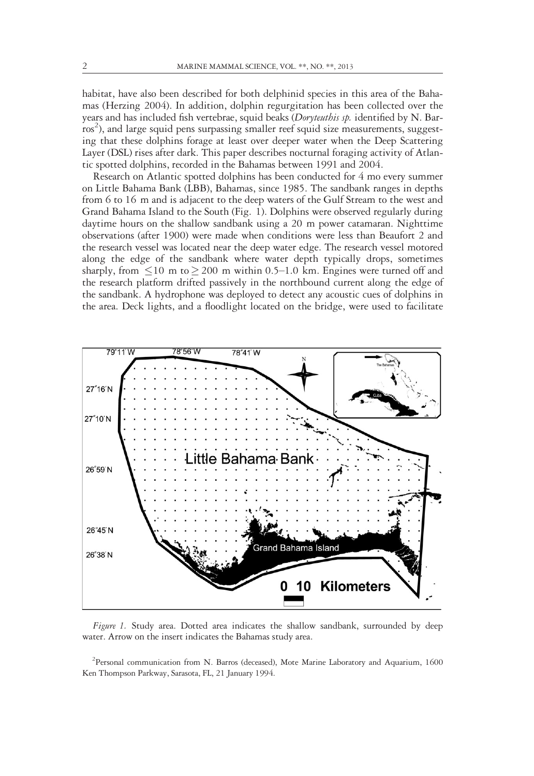habitat, have also been described for both delphinid species in this area of the Bahamas (Herzing 2004). In addition, dolphin regurgitation has been collected over the years and has included fish vertebrae, squid beaks (Doryteuthis sp. identified by N. Barros<sup>2</sup>), and large squid pens surpassing smaller reef squid size measurements, suggesting that these dolphins forage at least over deeper water when the Deep Scattering Layer (DSL) rises after dark. This paper describes nocturnal foraging activity of Atlantic spotted dolphins, recorded in the Bahamas between 1991 and 2004.

Research on Atlantic spotted dolphins has been conducted for 4 mo every summer on Little Bahama Bank (LBB), Bahamas, since 1985. The sandbank ranges in depths from 6 to 16 m and is adjacent to the deep waters of the Gulf Stream to the west and Grand Bahama Island to the South (Fig. 1). Dolphins were observed regularly during daytime hours on the shallow sandbank using a 20 m power catamaran. Nighttime observations (after 1900) were made when conditions were less than Beaufort 2 and the research vessel was located near the deep water edge. The research vessel motored along the edge of the sandbank where water depth typically drops, sometimes sharply, from  $\leq 10$  m to  $\geq 200$  m within 0.5–1.0 km. Engines were turned off and the research platform drifted passively in the northbound current along the edge of the sandbank. A hydrophone was deployed to detect any acoustic cues of dolphins in the area. Deck lights, and a floodlight located on the bridge, were used to facilitate



Figure 1. Study area. Dotted area indicates the shallow sandbank, surrounded by deep water. Arrow on the insert indicates the Bahamas study area.

<sup>2</sup> Personal communication from N. Barros (deceased), Mote Marine Laboratory and Aquarium, 1600 Ken Thompson Parkway, Sarasota, FL, 21 January 1994.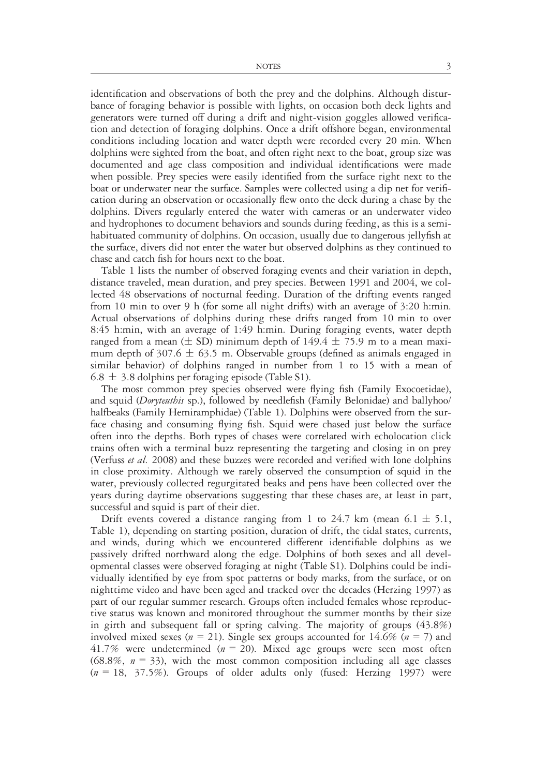identification and observations of both the prey and the dolphins. Although disturbance of foraging behavior is possible with lights, on occasion both deck lights and generators were turned off during a drift and night-vision goggles allowed verification and detection of foraging dolphins. Once a drift offshore began, environmental conditions including location and water depth were recorded every 20 min. When dolphins were sighted from the boat, and often right next to the boat, group size was documented and age class composition and individual identifications were made when possible. Prey species were easily identified from the surface right next to the boat or underwater near the surface. Samples were collected using a dip net for verification during an observation or occasionally flew onto the deck during a chase by the dolphins. Divers regularly entered the water with cameras or an underwater video and hydrophones to document behaviors and sounds during feeding, as this is a semihabituated community of dolphins. On occasion, usually due to dangerous jellyfish at the surface, divers did not enter the water but observed dolphins as they continued to chase and catch fish for hours next to the boat.

Table 1 lists the number of observed foraging events and their variation in depth, distance traveled, mean duration, and prey species. Between 1991 and 2004, we collected 48 observations of nocturnal feeding. Duration of the drifting events ranged from 10 min to over 9 h (for some all night drifts) with an average of 3:20 h:min. Actual observations of dolphins during these drifts ranged from 10 min to over 8:45 h:min, with an average of 1:49 h:min. During foraging events, water depth ranged from a mean ( $\pm$  SD) minimum depth of 149.4  $\pm$  75.9 m to a mean maximum depth of 307.6  $\pm$  63.5 m. Observable groups (defined as animals engaged in similar behavior) of dolphins ranged in number from 1 to 15 with a mean of  $6.8 \pm 3.8$  dolphins per foraging episode (Table S1).

The most common prey species observed were flying fish (Family Exocoetidae), and squid (Doryteuthis sp.), followed by needlefish (Family Belonidae) and ballyhoo/ halfbeaks (Family Hemiramphidae) (Table 1). Dolphins were observed from the surface chasing and consuming flying fish. Squid were chased just below the surface often into the depths. Both types of chases were correlated with echolocation click trains often with a terminal buzz representing the targeting and closing in on prey (Verfuss et al. 2008) and these buzzes were recorded and verified with lone dolphins in close proximity. Although we rarely observed the consumption of squid in the water, previously collected regurgitated beaks and pens have been collected over the years during daytime observations suggesting that these chases are, at least in part, successful and squid is part of their diet.

Drift events covered a distance ranging from 1 to 24.7 km (mean 6.1  $\pm$  5.1, Table 1), depending on starting position, duration of drift, the tidal states, currents, and winds, during which we encountered different identifiable dolphins as we passively drifted northward along the edge. Dolphins of both sexes and all developmental classes were observed foraging at night (Table S1). Dolphins could be individually identified by eye from spot patterns or body marks, from the surface, or on nighttime video and have been aged and tracked over the decades (Herzing 1997) as part of our regular summer research. Groups often included females whose reproductive status was known and monitored throughout the summer months by their size in girth and subsequent fall or spring calving. The majority of groups (43.8%) involved mixed sexes ( $n = 21$ ). Single sex groups accounted for 14.6% ( $n = 7$ ) and 41.7% were undetermined ( $n = 20$ ). Mixed age groups were seen most often  $(68.8\%, n = 33)$ , with the most common composition including all age classes  $(n = 18, 37.5\%)$ . Groups of older adults only (fused: Herzing 1997) were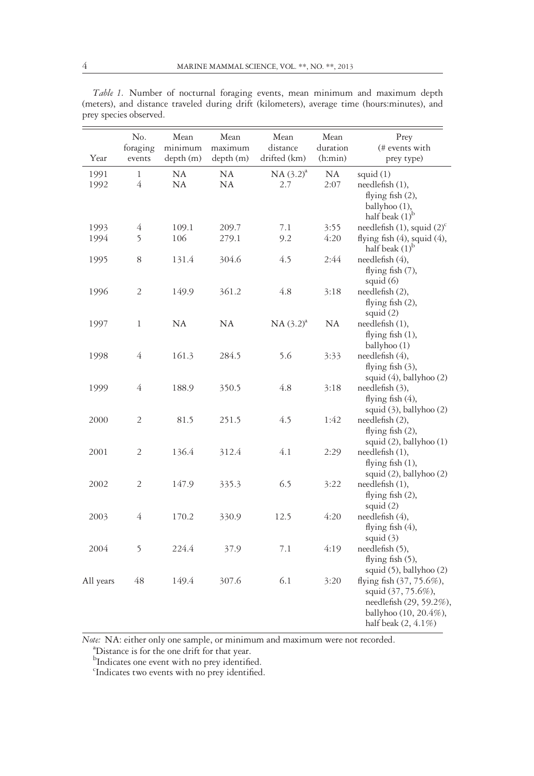|              | No.                        | Mean                 | Mean                 | Mean                     | Mean                | Prey                              |
|--------------|----------------------------|----------------------|----------------------|--------------------------|---------------------|-----------------------------------|
| Year         | foraging<br>events         | minimum<br>depth (m) | maximum<br>depth (m) | distance<br>drifted (km) | duration<br>(h:min) | (# events with<br>prey type)      |
|              |                            |                      |                      |                          |                     |                                   |
| 1991<br>1992 | $\mathbf{1}$<br>$\sqrt{4}$ | NA<br>NA             | NΑ<br>NA             | $NA(3.2)^{a}$<br>2.7     | NA<br>2:07          | squid (1)<br>needlefish (1),      |
|              |                            |                      |                      |                          |                     | flying fish $(2)$ ,               |
|              |                            |                      |                      |                          |                     | ballyhoo (1),                     |
|              |                            |                      |                      |                          |                     | half beak $(1)^{b}$               |
| 1993         | $\overline{4}$             | 109.1                | 209.7                | 7.1                      | 3:55                | needlefish $(1)$ , squid $(2)^c$  |
| 1994         | 5                          | 106                  | 279.1                | 9.2                      | 4:20                | flying fish $(4)$ , squid $(4)$ , |
|              |                            |                      |                      |                          |                     | half beak $(1)^{b}$               |
| 1995         | 8                          | 131.4                | 304.6                | 4.5                      | 2:44                | needlefish (4),                   |
|              |                            |                      |                      |                          |                     | flying fish (7),                  |
|              |                            |                      |                      |                          |                     | squid $(6)$                       |
| 1996         | $\sqrt{2}$                 | 149.9                | 361.2                | 4.8                      | 3:18                | needlefish (2),                   |
|              |                            |                      |                      |                          |                     | flying fish $(2)$ ,               |
|              |                            |                      |                      |                          |                     | squid $(2)$                       |
| 1997         | $\mathbf{1}$               | NA                   | NA                   | $NA(3.2)^{a}$            | NA                  | needlefish (1),                   |
|              |                            |                      |                      |                          |                     | flying fish $(1)$ ,               |
| 1998         | $\sqrt{4}$                 | 161.3                | 284.5                | 5.6                      | 3:33                | ballyhoo (1)<br>needlefish (4),   |
|              |                            |                      |                      |                          |                     | flying fish $(3)$ ,               |
|              |                            |                      |                      |                          |                     | squid (4), ballyhoo (2)           |
| 1999         | $\overline{4}$             | 188.9                | 350.5                | 4.8                      | 3:18                | needlefish (3),                   |
|              |                            |                      |                      |                          |                     | flying fish $(4)$ ,               |
|              |                            |                      |                      |                          |                     | squid (3), ballyhoo (2)           |
| 2000         | $\overline{2}$             | 81.5                 | 251.5                | 4.5                      | 1:42                | needlefthth (2),                  |
|              |                            |                      |                      |                          |                     | flying fish $(2)$ ,               |
|              |                            |                      |                      |                          |                     | squid (2), ballyhoo (1)           |
| 2001         | $\overline{2}$             | 136.4                | 312.4                | 4.1                      | 2:29                | needlefish (1),                   |
|              |                            |                      |                      |                          |                     | flying fish $(1)$ ,               |
|              |                            |                      |                      |                          |                     | squid (2), ballyhoo (2)           |
| 2002         | $\overline{2}$             | 147.9                | 335.3                | 6.5                      | 3:22                | needlefish (1),                   |
|              |                            |                      |                      |                          |                     | flying fish $(2)$ ,               |
| 2003         | 4                          | 170.2                | 330.9                | 12.5                     | 4:20                | squid $(2)$<br>needlefish (4),    |
|              |                            |                      |                      |                          |                     | flying fish $(4)$ ,               |
|              |                            |                      |                      |                          |                     | squid $(3)$                       |
| 2004         | 5                          | 224.4                | 37.9                 | 7.1                      | 4:19                | needlefish (5),                   |
|              |                            |                      |                      |                          |                     | flying fish (5),                  |
|              |                            |                      |                      |                          |                     | squid (5), ballyhoo (2)           |
| All years    | 48                         | 149.4                | 307.6                | 6.1                      | 3:20                | flying fish (37, 75.6%),          |
|              |                            |                      |                      |                          |                     | squid (37, 75.6%),                |
|              |                            |                      |                      |                          |                     | needlefish (29, 59.2%),           |
|              |                            |                      |                      |                          |                     | ballyhoo (10, 20.4%),             |
|              |                            |                      |                      |                          |                     | half beak $(2, 4.1\%)$            |

Table 1. Number of nocturnal foraging events, mean minimum and maximum depth (meters), and distance traveled during drift (kilometers), average time (hours:minutes), and prey species observed.

Note: NA: either only one sample, or minimum and maximum were not recorded.

<sup>a</sup>Distance is for the one drift for that year.<br><sup>b</sup>Indicates one event with no prey identified.<br><sup>c</sup>Indicates two events with no prey identified.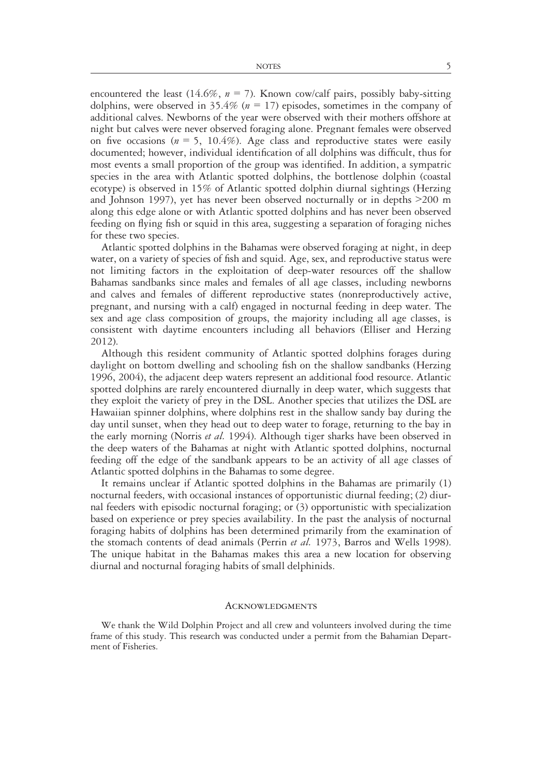encountered the least (14.6%,  $n = 7$ ). Known cow/calf pairs, possibly baby-sitting dolphins, were observed in 35.4% ( $n = 17$ ) episodes, sometimes in the company of additional calves. Newborns of the year were observed with their mothers offshore at night but calves were never observed foraging alone. Pregnant females were observed on five occasions ( $n = 5$ , 10.4%). Age class and reproductive states were easily documented; however, individual identification of all dolphins was difficult, thus for most events a small proportion of the group was identified. In addition, a sympatric species in the area with Atlantic spotted dolphins, the bottlenose dolphin (coastal ecotype) is observed in 15% of Atlantic spotted dolphin diurnal sightings (Herzing and Johnson 1997), yet has never been observed nocturnally or in depths >200 m along this edge alone or with Atlantic spotted dolphins and has never been observed feeding on flying fish or squid in this area, suggesting a separation of foraging niches for these two species.

Atlantic spotted dolphins in the Bahamas were observed foraging at night, in deep water, on a variety of species of fish and squid. Age, sex, and reproductive status were not limiting factors in the exploitation of deep-water resources off the shallow Bahamas sandbanks since males and females of all age classes, including newborns and calves and females of different reproductive states (nonreproductively active, pregnant, and nursing with a calf) engaged in nocturnal feeding in deep water. The sex and age class composition of groups, the majority including all age classes, is consistent with daytime encounters including all behaviors (Elliser and Herzing 2012).

Although this resident community of Atlantic spotted dolphins forages during daylight on bottom dwelling and schooling fish on the shallow sandbanks (Herzing 1996, 2004), the adjacent deep waters represent an additional food resource. Atlantic spotted dolphins are rarely encountered diurnally in deep water, which suggests that they exploit the variety of prey in the DSL. Another species that utilizes the DSL are Hawaiian spinner dolphins, where dolphins rest in the shallow sandy bay during the day until sunset, when they head out to deep water to forage, returning to the bay in the early morning (Norris *et al.* 1994). Although tiger sharks have been observed in the deep waters of the Bahamas at night with Atlantic spotted dolphins, nocturnal feeding off the edge of the sandbank appears to be an activity of all age classes of Atlantic spotted dolphins in the Bahamas to some degree.

It remains unclear if Atlantic spotted dolphins in the Bahamas are primarily (1) nocturnal feeders, with occasional instances of opportunistic diurnal feeding; (2) diurnal feeders with episodic nocturnal foraging; or (3) opportunistic with specialization based on experience or prey species availability. In the past the analysis of nocturnal foraging habits of dolphins has been determined primarily from the examination of the stomach contents of dead animals (Perrin et al. 1973, Barros and Wells 1998). The unique habitat in the Bahamas makes this area a new location for observing diurnal and nocturnal foraging habits of small delphinids.

#### **ACKNOWLEDGMENTS**

We thank the Wild Dolphin Project and all crew and volunteers involved during the time frame of this study. This research was conducted under a permit from the Bahamian Department of Fisheries.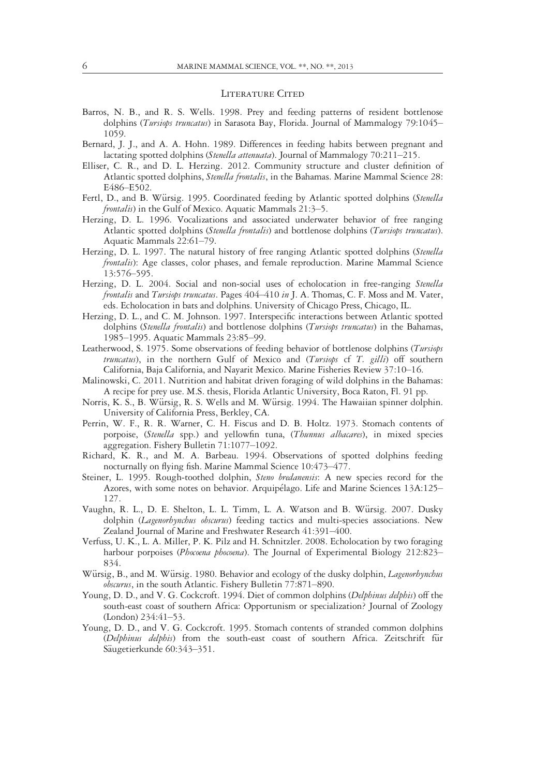#### LITERATURE CITED

- Barros, N. B., and R. S. Wells. 1998. Prey and feeding patterns of resident bottlenose dolphins (Tursiops truncatus) in Sarasota Bay, Florida. Journal of Mammalogy 79:1045– 1059.
- Bernard, J. J., and A. A. Hohn. 1989. Differences in feeding habits between pregnant and lactating spotted dolphins (Stenella attenuata). Journal of Mammalogy 70:211-215.
- Elliser, C. R., and D. L. Herzing. 2012. Community structure and cluster definition of Atlantic spotted dolphins, Stenella frontalis, in the Bahamas. Marine Mammal Science 28: E486–E502.
- Fertl, D., and B. Würsig. 1995. Coordinated feeding by Atlantic spotted dolphins (Stenella frontalis) in the Gulf of Mexico. Aquatic Mammals 21:3–5.
- Herzing, D. L. 1996. Vocalizations and associated underwater behavior of free ranging Atlantic spotted dolphins (Stenella frontalis) and bottlenose dolphins (Tursiops truncatus). Aquatic Mammals 22:61–79.
- Herzing, D. L. 1997. The natural history of free ranging Atlantic spotted dolphins (Stenella frontalis): Age classes, color phases, and female reproduction. Marine Mammal Science 13:576–595.
- Herzing, D. L. 2004. Social and non-social uses of echolocation in free-ranging Stenella frontalis and Tursiops truncatus. Pages 404–410 in J. A. Thomas, C. F. Moss and M. Vater, eds. Echolocation in bats and dolphins. University of Chicago Press, Chicago, IL.
- Herzing, D. L., and C. M. Johnson. 1997. Interspecific interactions between Atlantic spotted dolphins (Stenella frontalis) and bottlenose dolphins (Tursiops truncatus) in the Bahamas, 1985–1995. Aquatic Mammals 23:85–99.
- Leatherwood, S. 1975. Some observations of feeding behavior of bottlenose dolphins (Tursiops *truncatus*), in the northern Gulf of Mexico and  $(Tursiops$  cf  $T.$   $gillij$  off southern California, Baja California, and Nayarit Mexico. Marine Fisheries Review 37:10–16.
- Malinowski, C. 2011. Nutrition and habitat driven foraging of wild dolphins in the Bahamas: A recipe for prey use. M.S. thesis, Florida Atlantic University, Boca Raton, Fl. 91 pp.
- Norris, K. S., B. Würsig, R. S. Wells and M. Würsig. 1994. The Hawaiian spinner dolphin. University of California Press, Berkley, CA.
- Perrin, W. F., R. R. Warner, C. H. Fiscus and D. B. Holtz. 1973. Stomach contents of porpoise, (Stenella spp.) and yellowfin tuna, (Thunnus albacares), in mixed species aggregation. Fishery Bulletin 71:1077–1092.
- Richard, K. R., and M. A. Barbeau. 1994. Observations of spotted dolphins feeding nocturnally on flying fish. Marine Mammal Science 10:473–477.
- Steiner, L. 1995. Rough-toothed dolphin, Steno bredanensis: A new species record for the Azores, with some notes on behavior. Arquipélago. Life and Marine Sciences 13A:125-127.
- Vaughn, R. L., D. E. Shelton, L. L. Timm, L. A. Watson and B. Würsig. 2007. Dusky dolphin (Lagenorhynchus obscurus) feeding tactics and multi-species associations. New Zealand Journal of Marine and Freshwater Research 41:391–400.
- Verfuss, U. K., L. A. Miller, P. K. Pilz and H. Schnitzler. 2008. Echolocation by two foraging harbour porpoises (Phocoena phocoena). The Journal of Experimental Biology 212:823-834.
- Würsig, B., and M. Würsig. 1980. Behavior and ecology of the dusky dolphin, Lagenorhynchus obscurus, in the south Atlantic. Fishery Bulletin 77:871–890.
- Young, D. D., and V. G. Cockcroft. 1994. Diet of common dolphins (Delphinus delphis) off the south-east coast of southern Africa: Opportunism or specialization? Journal of Zoology (London) 234:41–53.
- Young, D. D., and V. G. Cockcroft. 1995. Stomach contents of stranded common dolphins (Delphinus delphis) from the south-east coast of southern Africa. Zeitschrift für Säugetierkunde 60:343–351.